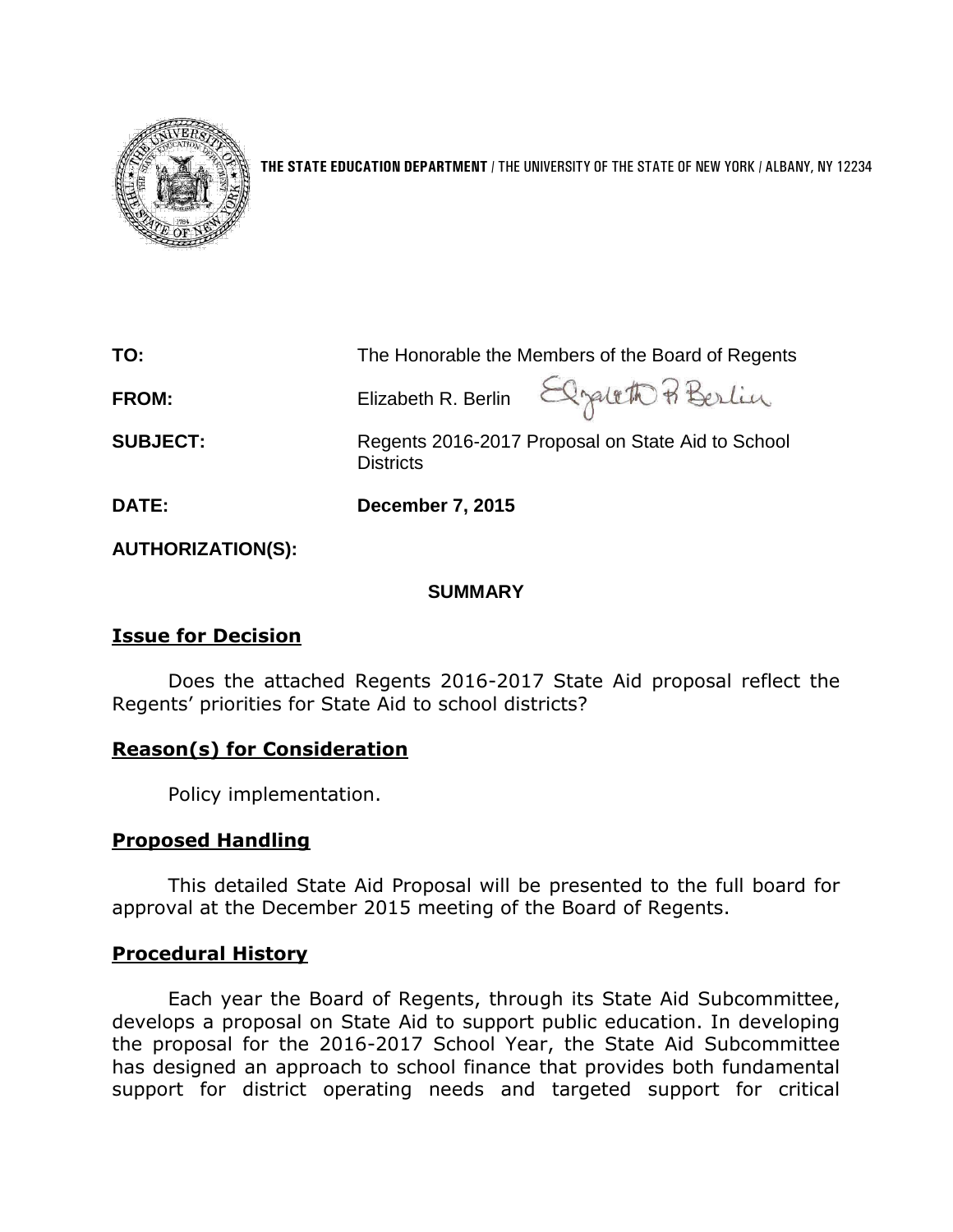

**THE STATE EDUCATION DEPARTMENT** / THE UNIVERSITY OF THE STATE OF NEW YORK / ALBANY, NY 12234

| <b>DATE:</b>    | <b>December 7, 2015</b>                           |                                                   |
|-----------------|---------------------------------------------------|---------------------------------------------------|
| <b>SUBJECT:</b> | <b>Districts</b>                                  | Regents 2016-2017 Proposal on State Aid to School |
| <b>FROM:</b>    |                                                   | Elizabeth R. Berlin Elgent R Berlin               |
| TO:             | The Honorable the Members of the Board of Regents |                                                   |

# **AUTHORIZATION(S):**

#### **SUMMARY**

# **Issue for Decision**

Does the attached Regents 2016-2017 State Aid proposal reflect the Regents' priorities for State Aid to school districts?

# **Reason(s) for Consideration**

Policy implementation.

# **Proposed Handling**

This detailed State Aid Proposal will be presented to the full board for approval at the December 2015 meeting of the Board of Regents.

# **Procedural History**

Each year the Board of Regents, through its State Aid Subcommittee, develops a proposal on State Aid to support public education. In developing the proposal for the 2016-2017 School Year, the State Aid Subcommittee has designed an approach to school finance that provides both fundamental support for district operating needs and targeted support for critical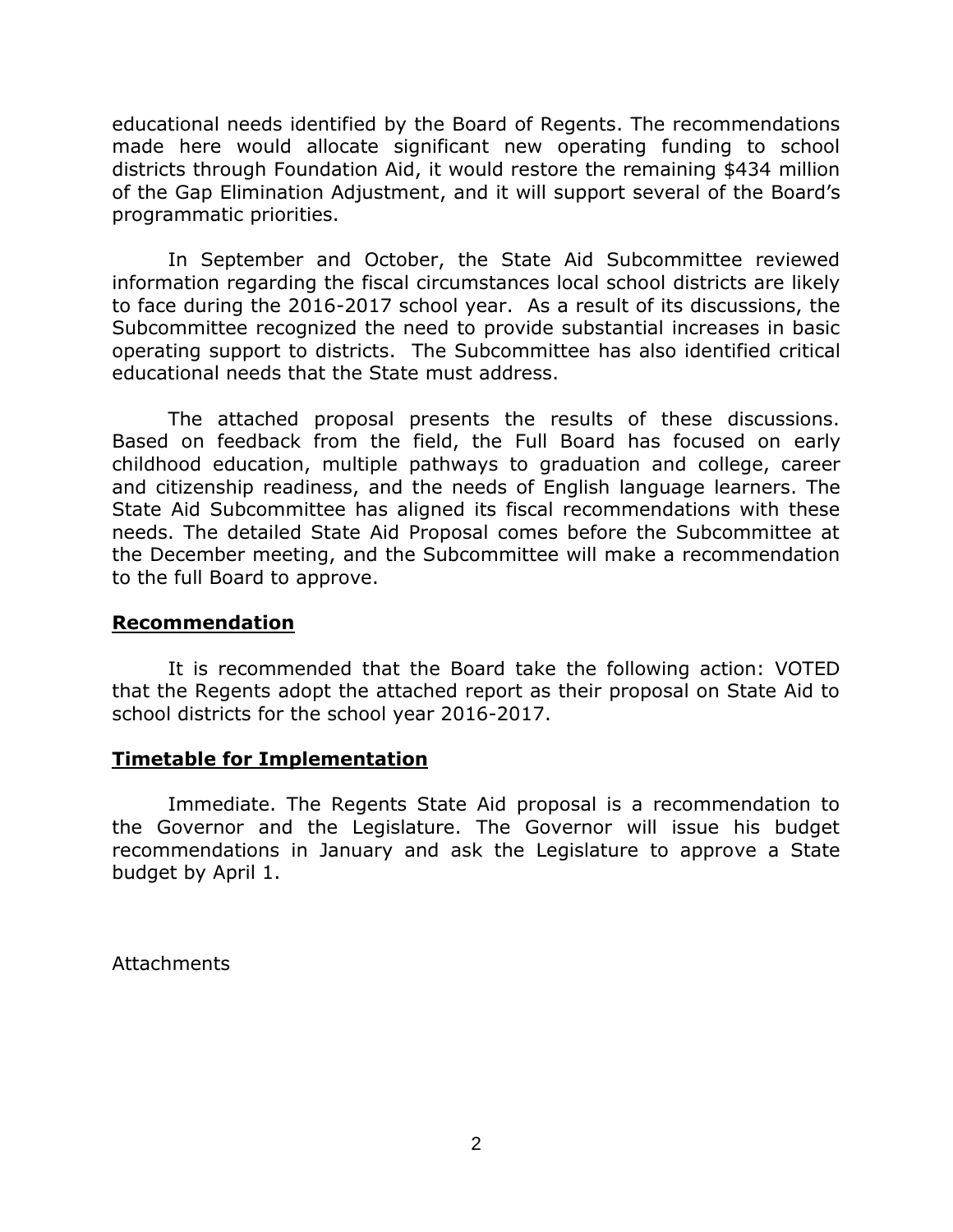educational needs identified by the Board of Regents. The recommendations made here would allocate significant new operating funding to school districts through Foundation Aid, it would restore the remaining \$434 million of the Gap Elimination Adjustment, and it will support several of the Board's programmatic priorities.

In September and October, the State Aid Subcommittee reviewed information regarding the fiscal circumstances local school districts are likely to face during the 2016-2017 school year. As a result of its discussions, the Subcommittee recognized the need to provide substantial increases in basic operating support to districts. The Subcommittee has also identified critical educational needs that the State must address.

The attached proposal presents the results of these discussions. Based on feedback from the field, the Full Board has focused on early childhood education, multiple pathways to graduation and college, career and citizenship readiness, and the needs of English language learners. The State Aid Subcommittee has aligned its fiscal recommendations with these needs. The detailed State Aid Proposal comes before the Subcommittee at the December meeting, and the Subcommittee will make a recommendation to the full Board to approve.

#### **Recommendation**

It is recommended that the Board take the following action: VOTED that the Regents adopt the attached report as their proposal on State Aid to school districts for the school year 2016-2017.

# **Timetable for Implementation**

Immediate. The Regents State Aid proposal is a recommendation to the Governor and the Legislature. The Governor will issue his budget recommendations in January and ask the Legislature to approve a State budget by April 1.

**Attachments**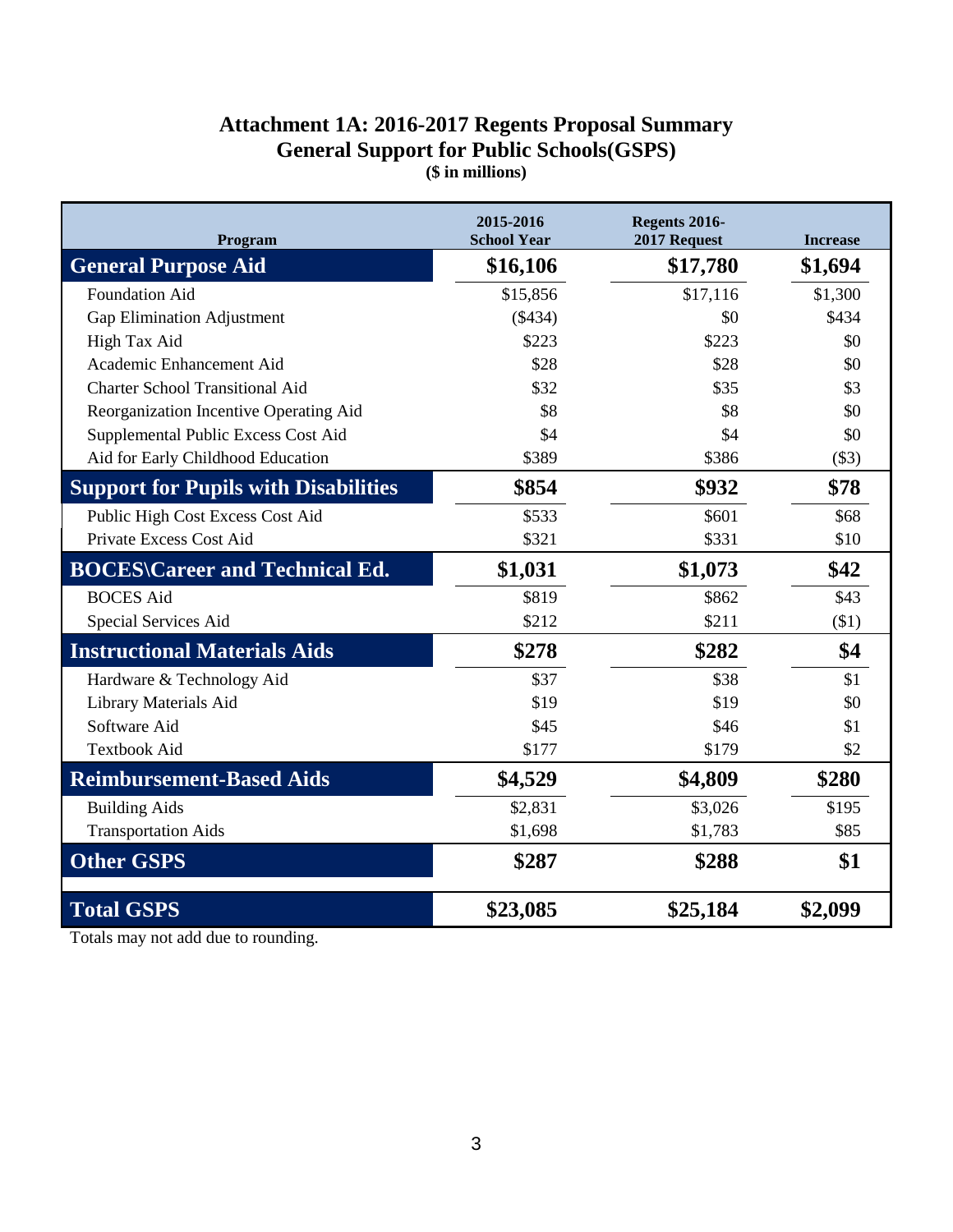# **Attachment 1A: 2016-2017 Regents Proposal Summary General Support for Public Schools(GSPS) (\$ in millions)**

| Program                                     | 2015-2016<br><b>School Year</b> | Regents 2016-<br>2017 Request | <b>Increase</b> |
|---------------------------------------------|---------------------------------|-------------------------------|-----------------|
| <b>General Purpose Aid</b>                  | \$16,106                        | \$17,780                      | \$1,694         |
| <b>Foundation Aid</b>                       | \$15,856                        | \$17,116                      | \$1,300         |
| Gap Elimination Adjustment                  | (\$434)                         | \$0                           | \$434           |
| High Tax Aid                                | \$223                           | \$223                         | \$0             |
| Academic Enhancement Aid                    | \$28                            | \$28                          | \$0             |
| <b>Charter School Transitional Aid</b>      | \$32                            | \$35                          | \$3             |
| Reorganization Incentive Operating Aid      | \$8                             | \$8                           | \$0             |
| Supplemental Public Excess Cost Aid         | \$4                             | \$4                           | \$0             |
| Aid for Early Childhood Education           | \$389                           | \$386                         | (\$3)           |
| <b>Support for Pupils with Disabilities</b> | \$854                           | \$932                         | \$78            |
| Public High Cost Excess Cost Aid            | \$533                           | \$601                         | \$68            |
| Private Excess Cost Aid                     | \$321                           | \$331                         | \$10            |
| <b>BOCES</b> Career and Technical Ed.       | \$1,031                         | \$1,073                       | \$42            |
| <b>BOCES</b> Aid                            | \$819                           | \$862                         | \$43            |
| Special Services Aid                        | \$212                           | \$211                         | \$1)            |
| <b>Instructional Materials Aids</b>         | \$278                           | \$282                         | \$4             |
| Hardware & Technology Aid                   | \$37                            | \$38                          | \$1             |
| Library Materials Aid                       | \$19                            | \$19                          | \$0             |
| Software Aid                                | \$45                            | \$46                          | \$1             |
| <b>Textbook Aid</b>                         | \$177                           | \$179                         | \$2             |
| <b>Reimbursement-Based Aids</b>             | \$4,529                         | \$4,809                       | \$280           |
| <b>Building Aids</b>                        | \$2,831                         | \$3,026                       | \$195           |
| <b>Transportation Aids</b>                  | \$1,698                         | \$1,783                       | \$85            |
| <b>Other GSPS</b>                           | \$287                           | \$288                         | \$1             |
| <b>Total GSPS</b>                           | \$23,085                        | \$25,184                      | \$2,099         |

Totals may not add due to rounding.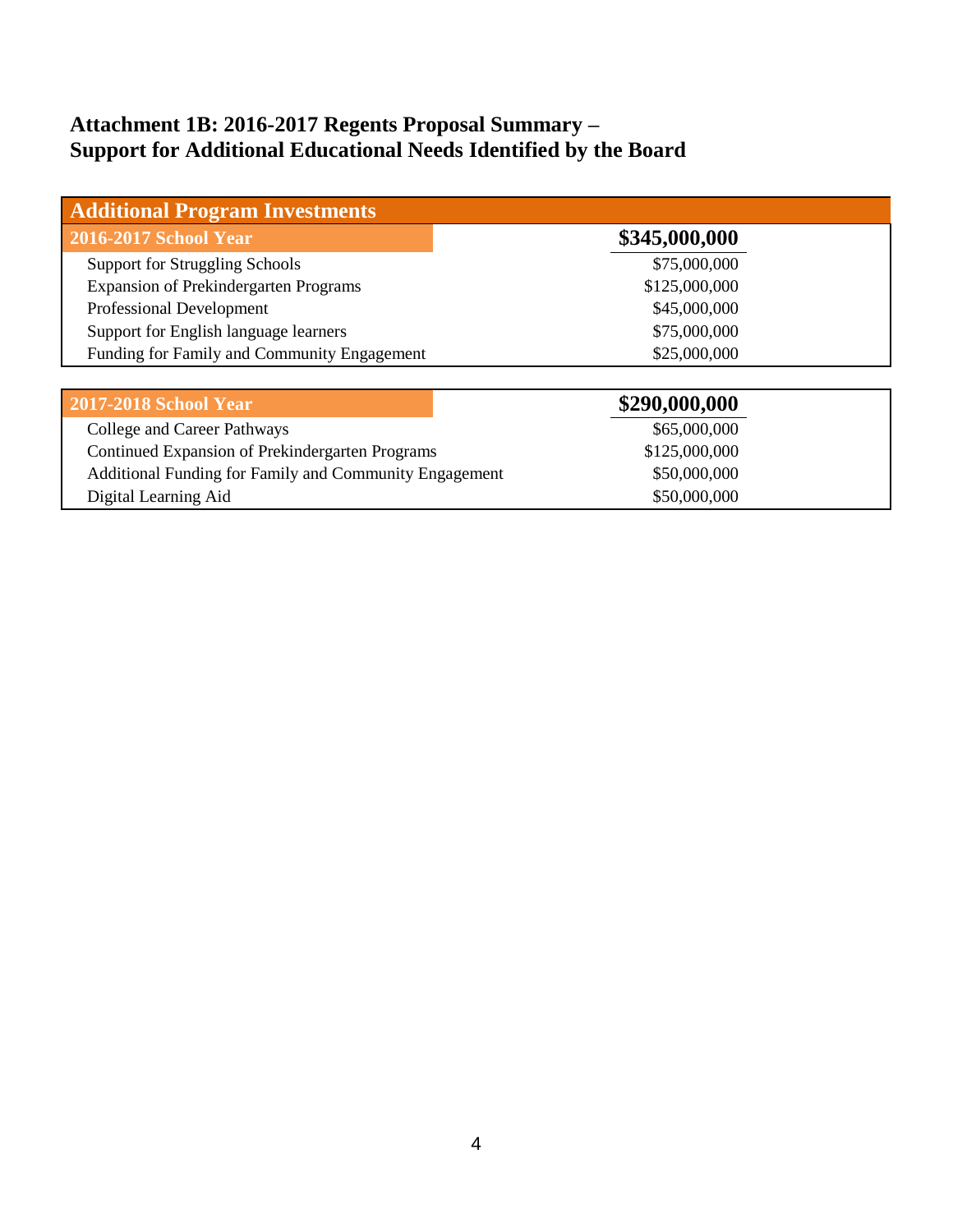# **Attachment 1B: 2016-2017 Regents Proposal Summary – Support for Additional Educational Needs Identified by the Board**

| <b>Additional Program Investments</b>        |               |  |
|----------------------------------------------|---------------|--|
| 2016-2017 School Year                        | \$345,000,000 |  |
| <b>Support for Struggling Schools</b>        | \$75,000,000  |  |
| <b>Expansion of Prekindergarten Programs</b> | \$125,000,000 |  |
| Professional Development                     | \$45,000,000  |  |
| Support for English language learners        | \$75,000,000  |  |
| Funding for Family and Community Engagement  | \$25,000,000  |  |
|                                              |               |  |

| <b>2017-2018 School Year</b>                           | \$290,000,000 |
|--------------------------------------------------------|---------------|
| College and Career Pathways                            | \$65,000,000  |
| Continued Expansion of Prekindergarten Programs        | \$125,000,000 |
| Additional Funding for Family and Community Engagement | \$50,000,000  |
| Digital Learning Aid                                   | \$50,000,000  |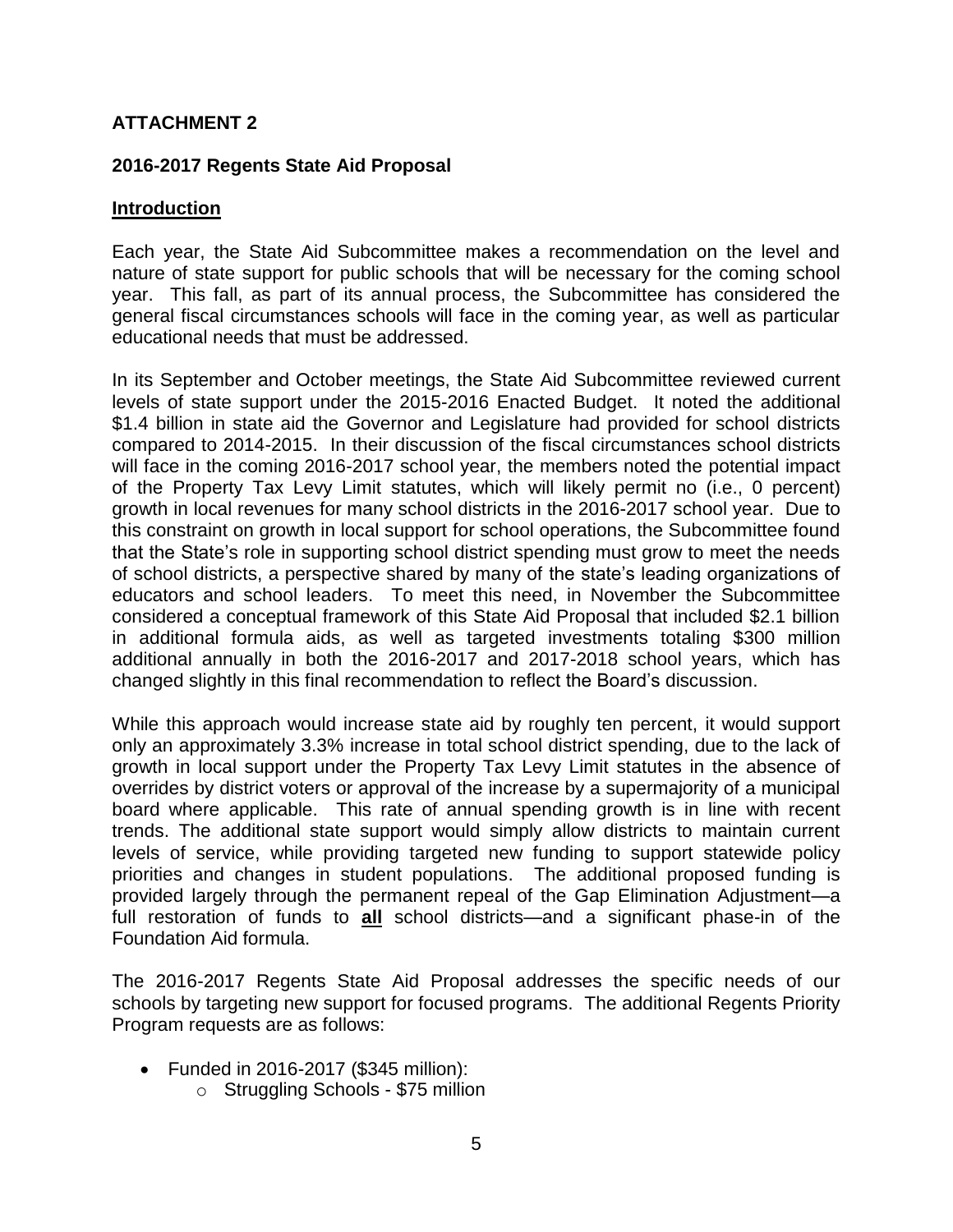# **ATTACHMENT 2**

#### **2016-2017 Regents State Aid Proposal**

#### **Introduction**

Each year, the State Aid Subcommittee makes a recommendation on the level and nature of state support for public schools that will be necessary for the coming school year. This fall, as part of its annual process, the Subcommittee has considered the general fiscal circumstances schools will face in the coming year, as well as particular educational needs that must be addressed.

In its September and October meetings, the State Aid Subcommittee reviewed current levels of state support under the 2015-2016 Enacted Budget. It noted the additional \$1.4 billion in state aid the Governor and Legislature had provided for school districts compared to 2014-2015. In their discussion of the fiscal circumstances school districts will face in the coming 2016-2017 school year, the members noted the potential impact of the Property Tax Levy Limit statutes, which will likely permit no (i.e., 0 percent) growth in local revenues for many school districts in the 2016-2017 school year. Due to this constraint on growth in local support for school operations, the Subcommittee found that the State's role in supporting school district spending must grow to meet the needs of school districts, a perspective shared by many of the state's leading organizations of educators and school leaders. To meet this need, in November the Subcommittee considered a conceptual framework of this State Aid Proposal that included \$2.1 billion in additional formula aids, as well as targeted investments totaling \$300 million additional annually in both the 2016-2017 and 2017-2018 school years, which has changed slightly in this final recommendation to reflect the Board's discussion.

While this approach would increase state aid by roughly ten percent, it would support only an approximately 3.3% increase in total school district spending, due to the lack of growth in local support under the Property Tax Levy Limit statutes in the absence of overrides by district voters or approval of the increase by a supermajority of a municipal board where applicable. This rate of annual spending growth is in line with recent trends. The additional state support would simply allow districts to maintain current levels of service, while providing targeted new funding to support statewide policy priorities and changes in student populations. The additional proposed funding is provided largely through the permanent repeal of the Gap Elimination Adjustment—a full restoration of funds to **all** school districts—and a significant phase-in of the Foundation Aid formula.

The 2016-2017 Regents State Aid Proposal addresses the specific needs of our schools by targeting new support for focused programs. The additional Regents Priority Program requests are as follows:

- Funded in 2016-2017 (\$345 million):
	- o Struggling Schools \$75 million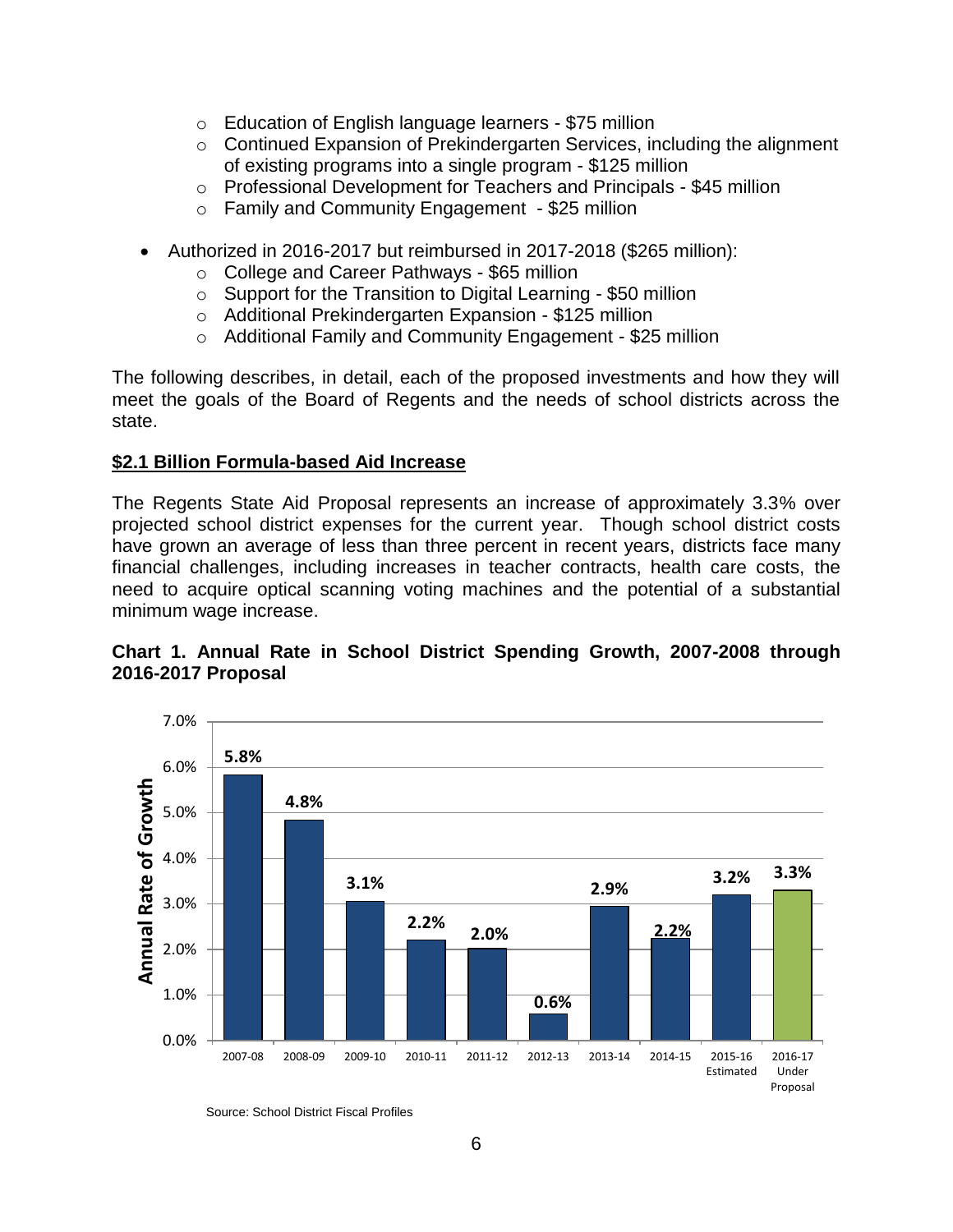- o Education of English language learners \$75 million
- o Continued Expansion of Prekindergarten Services, including the alignment of existing programs into a single program - \$125 million
- o Professional Development for Teachers and Principals \$45 million
- o Family and Community Engagement \$25 million
- Authorized in 2016-2017 but reimbursed in 2017-2018 (\$265 million):
	- o College and Career Pathways \$65 million
	- o Support for the Transition to Digital Learning \$50 million
	- o Additional Prekindergarten Expansion \$125 million
	- o Additional Family and Community Engagement \$25 million

The following describes, in detail, each of the proposed investments and how they will meet the goals of the Board of Regents and the needs of school districts across the state.

#### **\$2.1 Billion Formula-based Aid Increase**

The Regents State Aid Proposal represents an increase of approximately 3.3% over projected school district expenses for the current year. Though school district costs have grown an average of less than three percent in recent years, districts face many financial challenges, including increases in teacher contracts, health care costs, the need to acquire optical scanning voting machines and the potential of a substantial minimum wage increase.



**Chart 1. Annual Rate in School District Spending Growth, 2007-2008 through 2016-2017 Proposal**

Source: School District Fiscal Profiles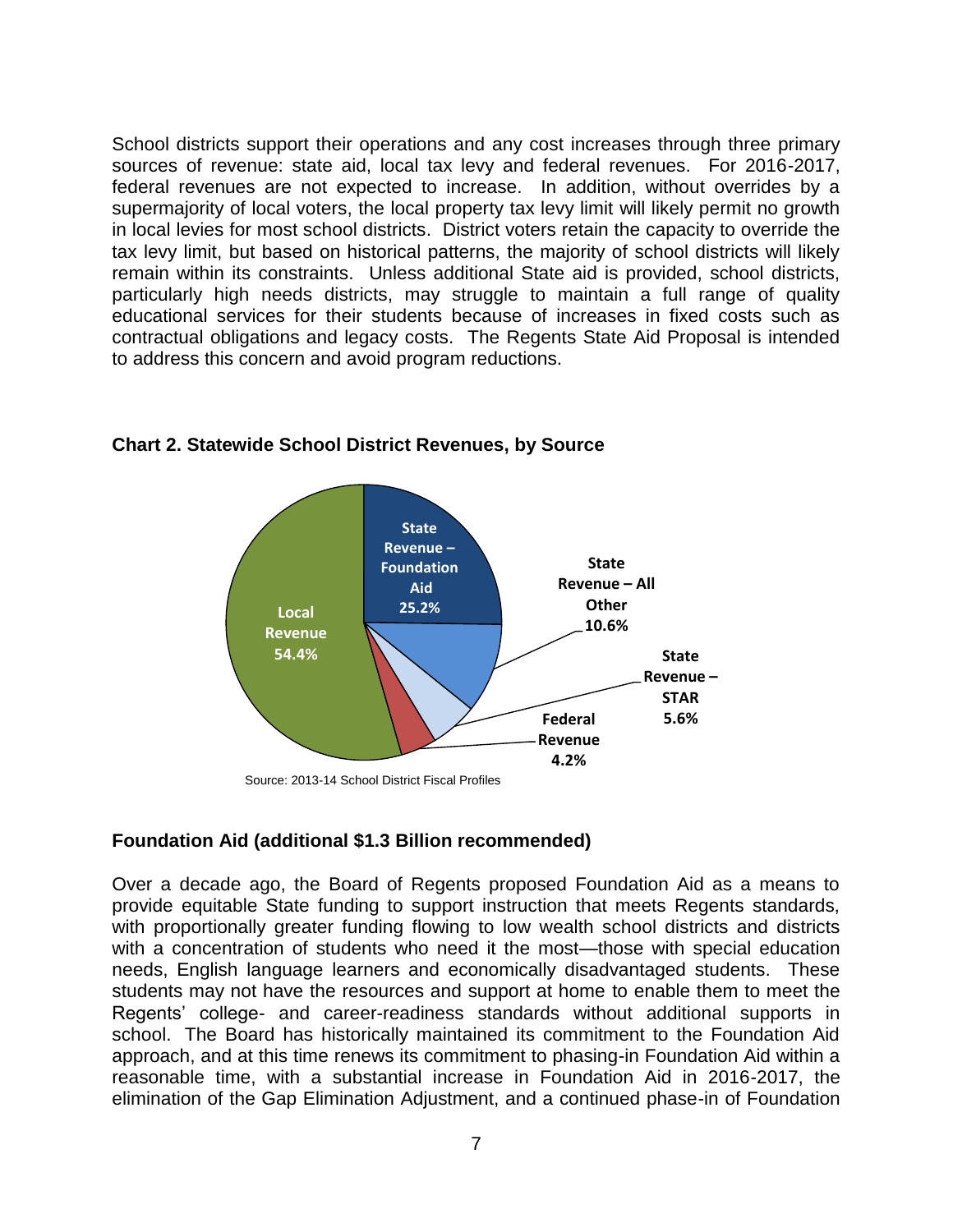School districts support their operations and any cost increases through three primary sources of revenue: state aid, local tax levy and federal revenues. For 2016-2017, federal revenues are not expected to increase. In addition, without overrides by a supermajority of local voters, the local property tax levy limit will likely permit no growth in local levies for most school districts. District voters retain the capacity to override the tax levy limit, but based on historical patterns, the majority of school districts will likely remain within its constraints. Unless additional State aid is provided, school districts, particularly high needs districts, may struggle to maintain a full range of quality educational services for their students because of increases in fixed costs such as contractual obligations and legacy costs. The Regents State Aid Proposal is intended to address this concern and avoid program reductions.



**Chart 2. Statewide School District Revenues, by Source**

#### **Foundation Aid (additional \$1.3 Billion recommended)**

Over a decade ago, the Board of Regents proposed Foundation Aid as a means to provide equitable State funding to support instruction that meets Regents standards, with proportionally greater funding flowing to low wealth school districts and districts with a concentration of students who need it the most—those with special education needs, English language learners and economically disadvantaged students. These students may not have the resources and support at home to enable them to meet the Regents' college- and career-readiness standards without additional supports in school. The Board has historically maintained its commitment to the Foundation Aid approach, and at this time renews its commitment to phasing-in Foundation Aid within a reasonable time, with a substantial increase in Foundation Aid in 2016-2017, the elimination of the Gap Elimination Adjustment, and a continued phase-in of Foundation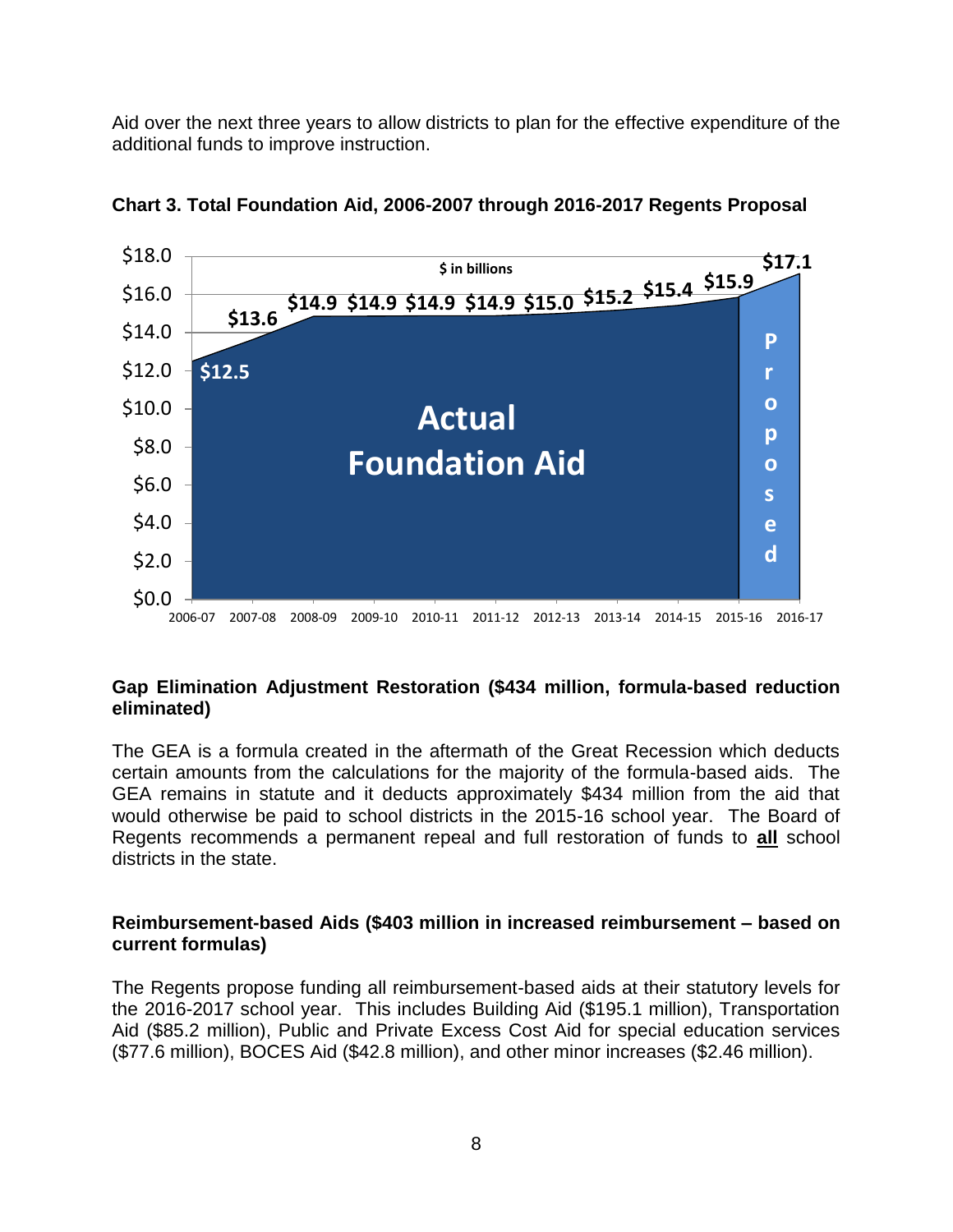Aid over the next three years to allow districts to plan for the effective expenditure of the additional funds to improve instruction.



**Chart 3. Total Foundation Aid, 2006-2007 through 2016-2017 Regents Proposal**

#### **Gap Elimination Adjustment Restoration (\$434 million, formula-based reduction eliminated)**

The GEA is a formula created in the aftermath of the Great Recession which deducts certain amounts from the calculations for the majority of the formula-based aids. The GEA remains in statute and it deducts approximately \$434 million from the aid that would otherwise be paid to school districts in the 2015-16 school year. The Board of Regents recommends a permanent repeal and full restoration of funds to **all** school districts in the state.

#### **Reimbursement-based Aids (\$403 million in increased reimbursement – based on current formulas)**

The Regents propose funding all reimbursement-based aids at their statutory levels for the 2016-2017 school year. This includes Building Aid (\$195.1 million), Transportation Aid (\$85.2 million), Public and Private Excess Cost Aid for special education services (\$77.6 million), BOCES Aid (\$42.8 million), and other minor increases (\$2.46 million).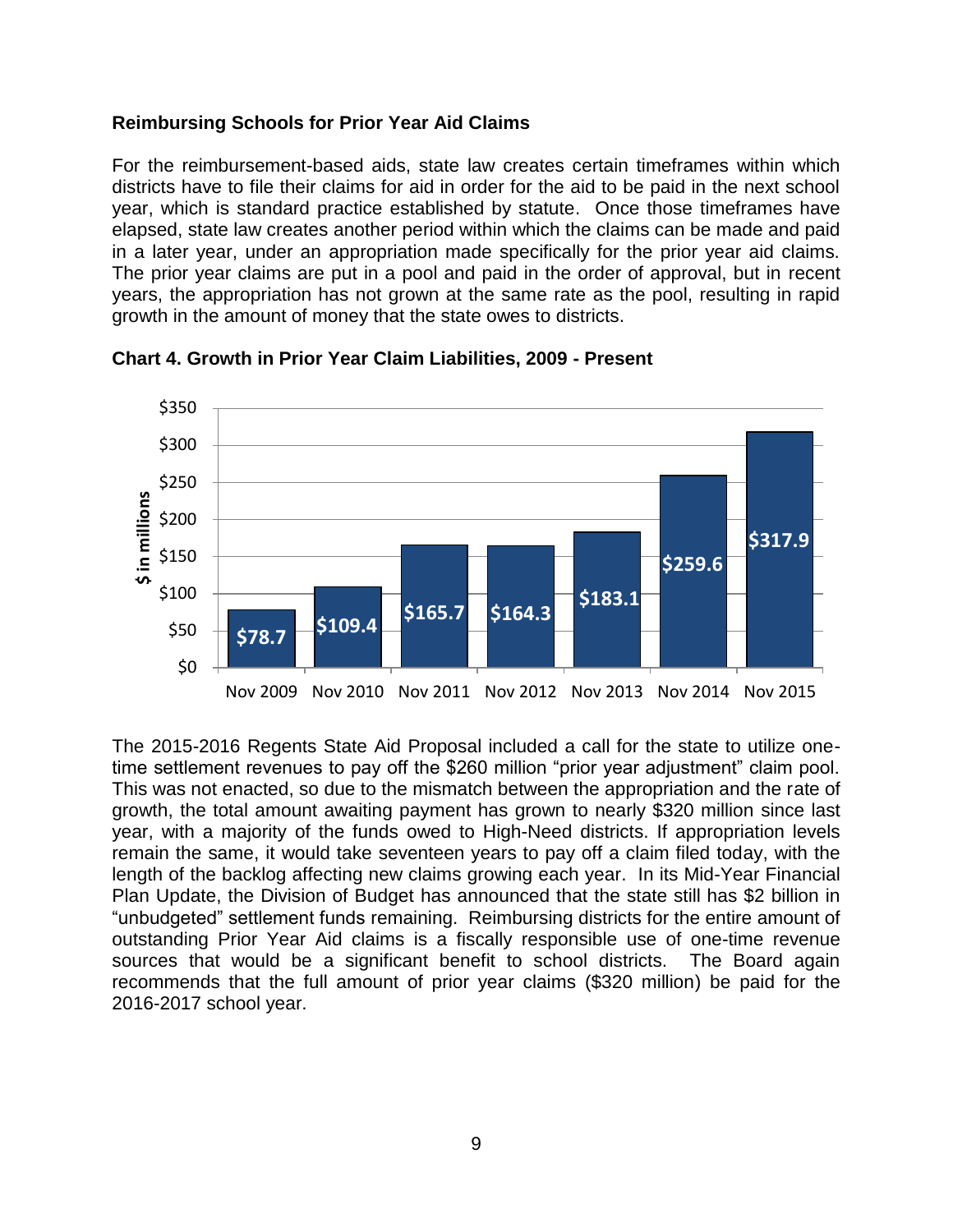#### **Reimbursing Schools for Prior Year Aid Claims**

For the reimbursement-based aids, state law creates certain timeframes within which districts have to file their claims for aid in order for the aid to be paid in the next school year, which is standard practice established by statute. Once those timeframes have elapsed, state law creates another period within which the claims can be made and paid in a later year, under an appropriation made specifically for the prior year aid claims. The prior year claims are put in a pool and paid in the order of approval, but in recent years, the appropriation has not grown at the same rate as the pool, resulting in rapid growth in the amount of money that the state owes to districts.



**Chart 4. Growth in Prior Year Claim Liabilities, 2009 - Present** 

The 2015-2016 Regents State Aid Proposal included a call for the state to utilize onetime settlement revenues to pay off the \$260 million "prior year adjustment" claim pool. This was not enacted, so due to the mismatch between the appropriation and the rate of growth, the total amount awaiting payment has grown to nearly \$320 million since last year, with a majority of the funds owed to High-Need districts. If appropriation levels remain the same, it would take seventeen years to pay off a claim filed today, with the length of the backlog affecting new claims growing each year. In its Mid-Year Financial Plan Update, the Division of Budget has announced that the state still has \$2 billion in "unbudgeted" settlement funds remaining. Reimbursing districts for the entire amount of outstanding Prior Year Aid claims is a fiscally responsible use of one-time revenue sources that would be a significant benefit to school districts. The Board again recommends that the full amount of prior year claims (\$320 million) be paid for the 2016-2017 school year.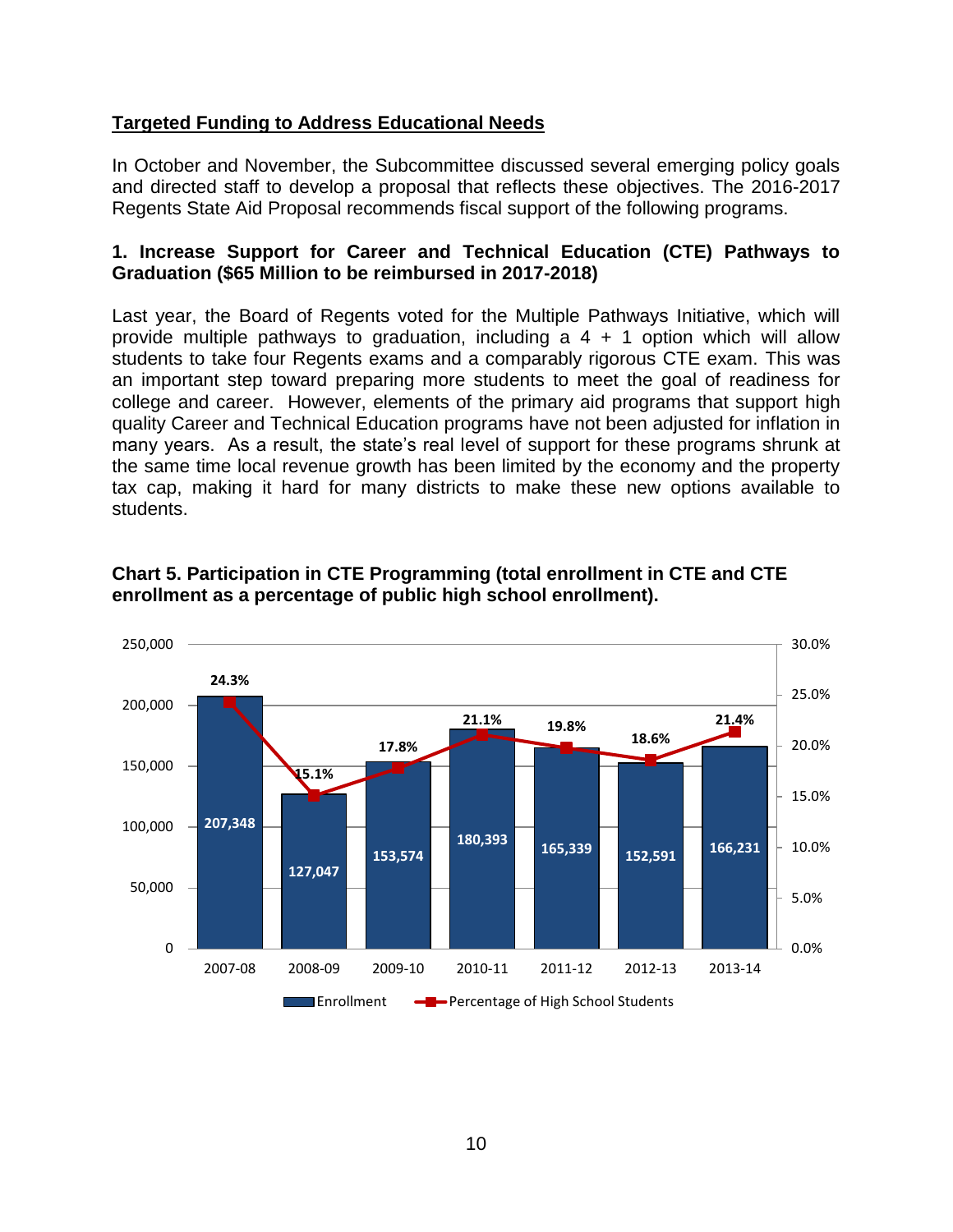#### **Targeted Funding to Address Educational Needs**

In October and November, the Subcommittee discussed several emerging policy goals and directed staff to develop a proposal that reflects these objectives. The 2016-2017 Regents State Aid Proposal recommends fiscal support of the following programs.

#### **1. Increase Support for Career and Technical Education (CTE) Pathways to Graduation (\$65 Million to be reimbursed in 2017-2018)**

Last year, the Board of Regents voted for the Multiple Pathways Initiative, which will provide multiple pathways to graduation, including  $a_4 + 1$  option which will allow students to take four Regents exams and a comparably rigorous CTE exam. This was an important step toward preparing more students to meet the goal of readiness for college and career. However, elements of the primary aid programs that support high quality Career and Technical Education programs have not been adjusted for inflation in many years. As a result, the state's real level of support for these programs shrunk at the same time local revenue growth has been limited by the economy and the property tax cap, making it hard for many districts to make these new options available to students.



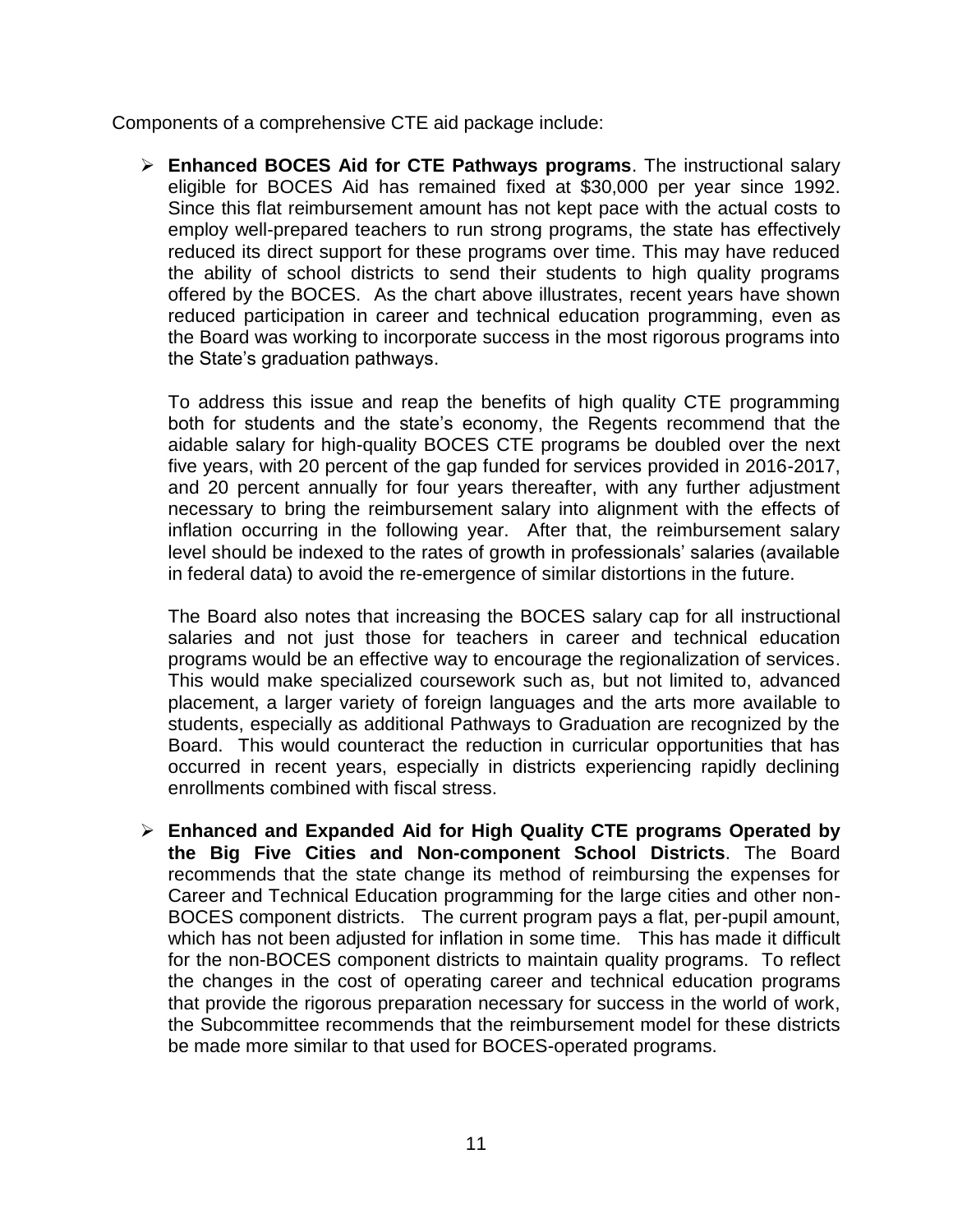Components of a comprehensive CTE aid package include:

 **Enhanced BOCES Aid for CTE Pathways programs**. The instructional salary eligible for BOCES Aid has remained fixed at \$30,000 per year since 1992. Since this flat reimbursement amount has not kept pace with the actual costs to employ well-prepared teachers to run strong programs, the state has effectively reduced its direct support for these programs over time. This may have reduced the ability of school districts to send their students to high quality programs offered by the BOCES. As the chart above illustrates, recent years have shown reduced participation in career and technical education programming, even as the Board was working to incorporate success in the most rigorous programs into the State's graduation pathways.

To address this issue and reap the benefits of high quality CTE programming both for students and the state's economy, the Regents recommend that the aidable salary for high-quality BOCES CTE programs be doubled over the next five years, with 20 percent of the gap funded for services provided in 2016-2017, and 20 percent annually for four years thereafter, with any further adjustment necessary to bring the reimbursement salary into alignment with the effects of inflation occurring in the following year. After that, the reimbursement salary level should be indexed to the rates of growth in professionals' salaries (available in federal data) to avoid the re-emergence of similar distortions in the future.

The Board also notes that increasing the BOCES salary cap for all instructional salaries and not just those for teachers in career and technical education programs would be an effective way to encourage the regionalization of services. This would make specialized coursework such as, but not limited to, advanced placement, a larger variety of foreign languages and the arts more available to students, especially as additional Pathways to Graduation are recognized by the Board. This would counteract the reduction in curricular opportunities that has occurred in recent years, especially in districts experiencing rapidly declining enrollments combined with fiscal stress.

 **Enhanced and Expanded Aid for High Quality CTE programs Operated by the Big Five Cities and Non-component School Districts**. The Board recommends that the state change its method of reimbursing the expenses for Career and Technical Education programming for the large cities and other non-BOCES component districts. The current program pays a flat, per-pupil amount, which has not been adjusted for inflation in some time. This has made it difficult for the non-BOCES component districts to maintain quality programs. To reflect the changes in the cost of operating career and technical education programs that provide the rigorous preparation necessary for success in the world of work, the Subcommittee recommends that the reimbursement model for these districts be made more similar to that used for BOCES-operated programs.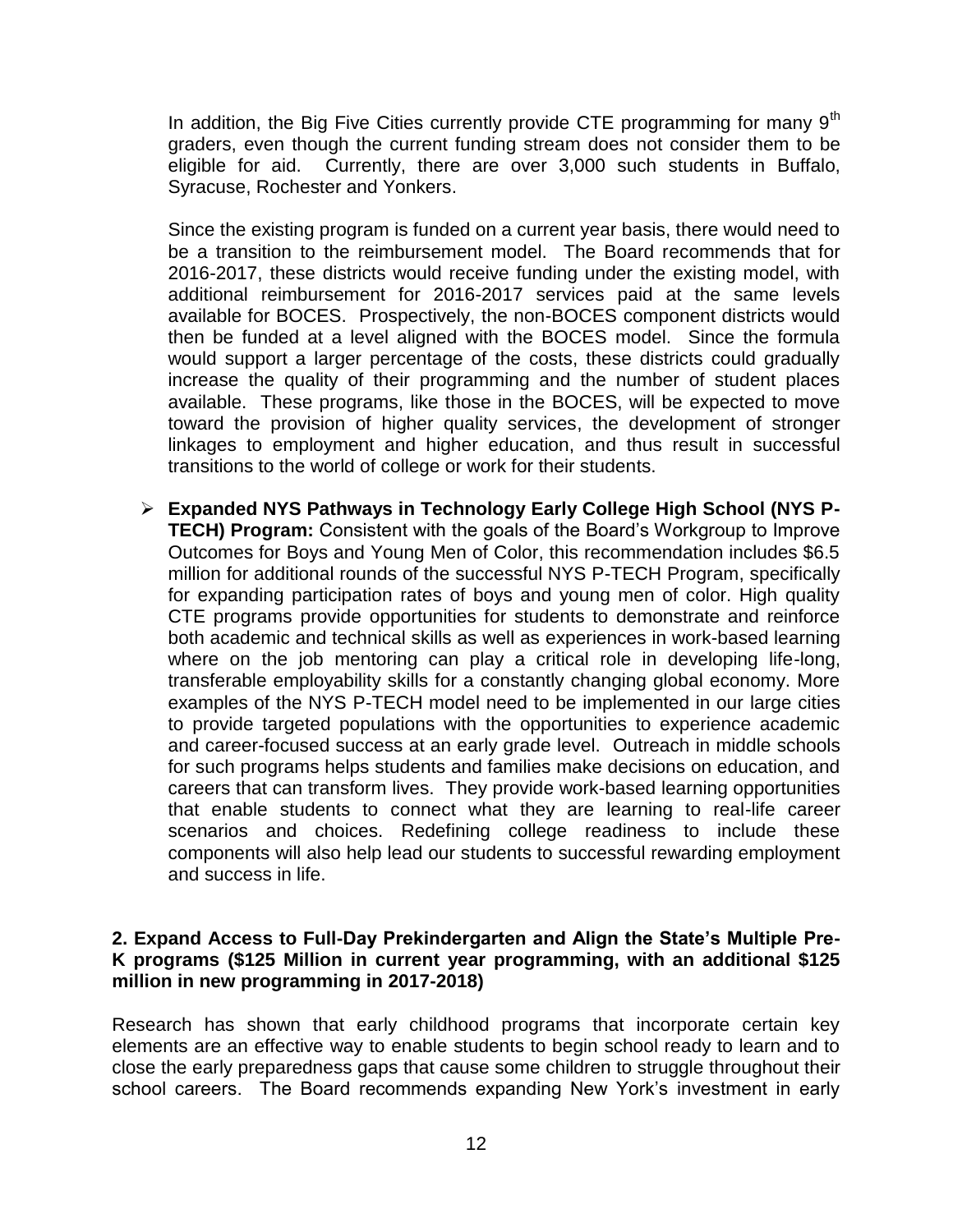In addition, the Big Five Cities currently provide CTE programming for many  $9<sup>th</sup>$ graders, even though the current funding stream does not consider them to be eligible for aid. Currently, there are over 3,000 such students in Buffalo, Syracuse, Rochester and Yonkers.

Since the existing program is funded on a current year basis, there would need to be a transition to the reimbursement model. The Board recommends that for 2016-2017, these districts would receive funding under the existing model, with additional reimbursement for 2016-2017 services paid at the same levels available for BOCES. Prospectively, the non-BOCES component districts would then be funded at a level aligned with the BOCES model. Since the formula would support a larger percentage of the costs, these districts could gradually increase the quality of their programming and the number of student places available. These programs, like those in the BOCES, will be expected to move toward the provision of higher quality services, the development of stronger linkages to employment and higher education, and thus result in successful transitions to the world of college or work for their students.

 **Expanded NYS Pathways in Technology Early College High School (NYS P-TECH) Program:** Consistent with the goals of the Board's Workgroup to Improve Outcomes for Boys and Young Men of Color, this recommendation includes \$6.5 million for additional rounds of the successful NYS P-TECH Program, specifically for expanding participation rates of boys and young men of color. High quality CTE programs provide opportunities for students to demonstrate and reinforce both academic and technical skills as well as experiences in work-based learning where on the job mentoring can play a critical role in developing life-long, transferable employability skills for a constantly changing global economy. More examples of the NYS P-TECH model need to be implemented in our large cities to provide targeted populations with the opportunities to experience academic and career-focused success at an early grade level. Outreach in middle schools for such programs helps students and families make decisions on education, and careers that can transform lives. They provide work-based learning opportunities that enable students to connect what they are learning to real-life career scenarios and choices. Redefining college readiness to include these components will also help lead our students to successful rewarding employment and success in life.

#### **2. Expand Access to Full-Day Prekindergarten and Align the State's Multiple Pre-K programs (\$125 Million in current year programming, with an additional \$125 million in new programming in 2017-2018)**

Research has shown that early childhood programs that incorporate certain key elements are an effective way to enable students to begin school ready to learn and to close the early preparedness gaps that cause some children to struggle throughout their school careers. The Board recommends expanding New York's investment in early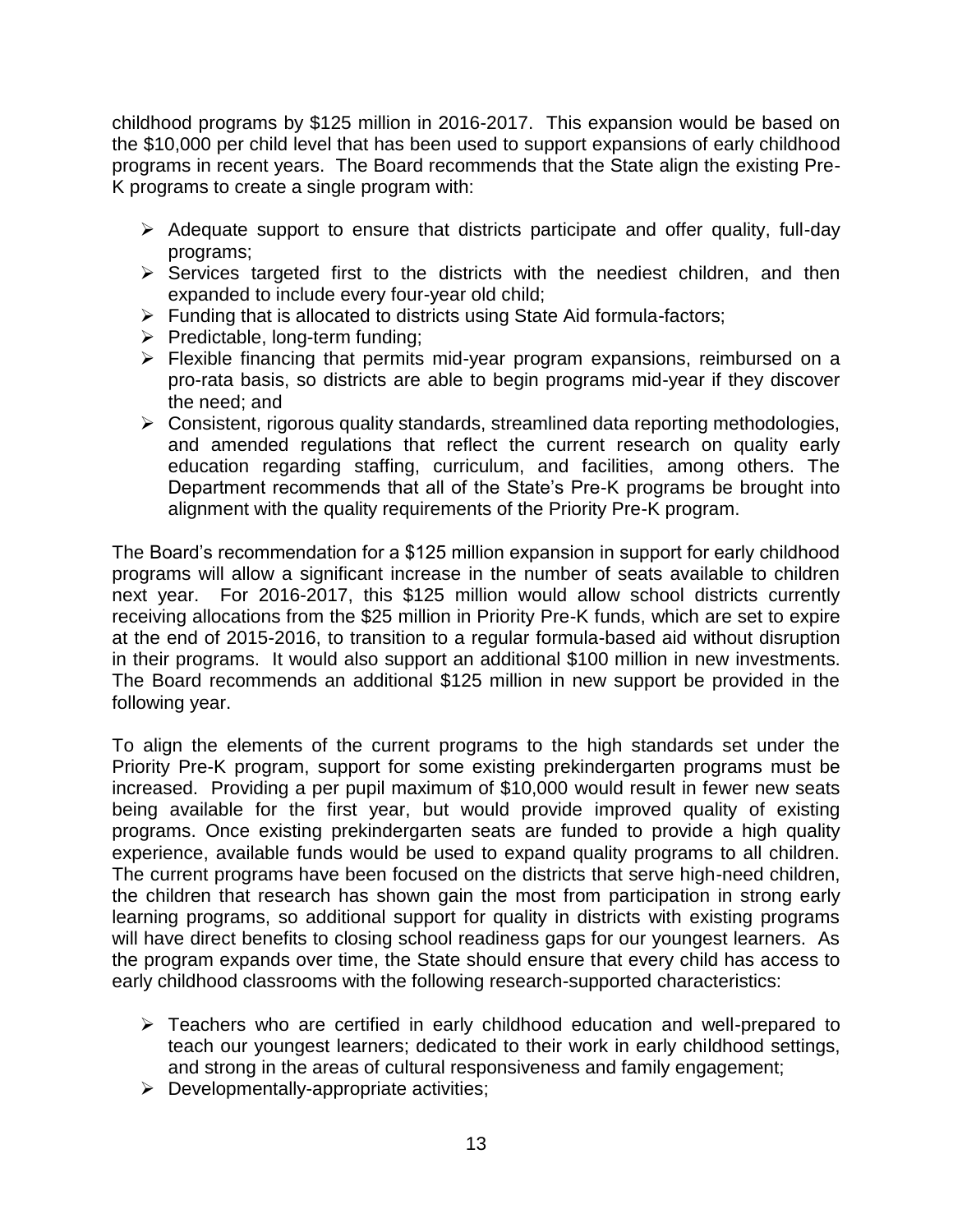childhood programs by \$125 million in 2016-2017. This expansion would be based on the \$10,000 per child level that has been used to support expansions of early childhood programs in recent years. The Board recommends that the State align the existing Pre-K programs to create a single program with:

- $\triangleright$  Adequate support to ensure that districts participate and offer quality, full-day programs;
- $\triangleright$  Services targeted first to the districts with the neediest children, and then expanded to include every four-year old child;
- $\triangleright$  Funding that is allocated to districts using State Aid formula-factors;
- $\triangleright$  Predictable, long-term funding;
- $\triangleright$  Flexible financing that permits mid-year program expansions, reimbursed on a pro-rata basis, so districts are able to begin programs mid-year if they discover the need; and
- Consistent, rigorous quality standards, streamlined data reporting methodologies, and amended regulations that reflect the current research on quality early education regarding staffing, curriculum, and facilities, among others. The Department recommends that all of the State's Pre-K programs be brought into alignment with the quality requirements of the Priority Pre-K program.

The Board's recommendation for a \$125 million expansion in support for early childhood programs will allow a significant increase in the number of seats available to children next year. For 2016-2017, this \$125 million would allow school districts currently receiving allocations from the \$25 million in Priority Pre-K funds, which are set to expire at the end of 2015-2016, to transition to a regular formula-based aid without disruption in their programs. It would also support an additional \$100 million in new investments. The Board recommends an additional \$125 million in new support be provided in the following year.

To align the elements of the current programs to the high standards set under the Priority Pre-K program, support for some existing prekindergarten programs must be increased. Providing a per pupil maximum of \$10,000 would result in fewer new seats being available for the first year, but would provide improved quality of existing programs. Once existing prekindergarten seats are funded to provide a high quality experience, available funds would be used to expand quality programs to all children. The current programs have been focused on the districts that serve high-need children, the children that research has shown gain the most from participation in strong early learning programs, so additional support for quality in districts with existing programs will have direct benefits to closing school readiness gaps for our youngest learners. As the program expands over time, the State should ensure that every child has access to early childhood classrooms with the following research-supported characteristics:

- Teachers who are certified in early childhood education and well-prepared to teach our youngest learners; dedicated to their work in early childhood settings, and strong in the areas of cultural responsiveness and family engagement;
- $\triangleright$  Developmentally-appropriate activities;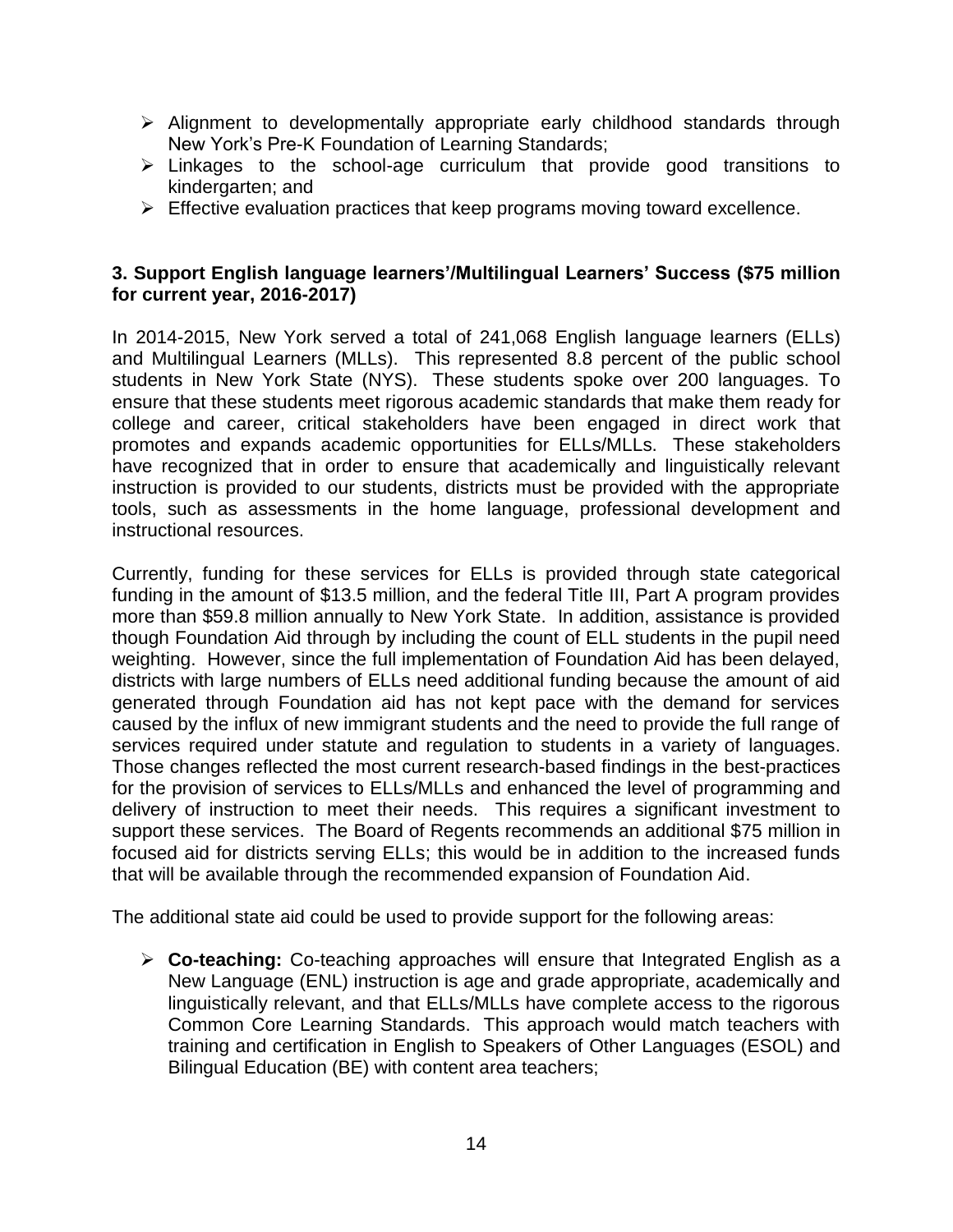- $\triangleright$  Alignment to developmentally appropriate early childhood standards through New York's Pre-K Foundation of Learning Standards;
- $\triangleright$  Linkages to the school-age curriculum that provide good transitions to kindergarten; and
- $\triangleright$  Effective evaluation practices that keep programs moving toward excellence.

#### **3. Support English language learners'/Multilingual Learners' Success (\$75 million for current year, 2016-2017)**

In 2014-2015, New York served a total of 241,068 English language learners (ELLs) and Multilingual Learners (MLLs). This represented 8.8 percent of the public school students in New York State (NYS). These students spoke over 200 languages. To ensure that these students meet rigorous academic standards that make them ready for college and career, critical stakeholders have been engaged in direct work that promotes and expands academic opportunities for ELLs/MLLs. These stakeholders have recognized that in order to ensure that academically and linguistically relevant instruction is provided to our students, districts must be provided with the appropriate tools, such as assessments in the home language, professional development and instructional resources.

Currently, funding for these services for ELLs is provided through state categorical funding in the amount of \$13.5 million, and the federal Title III, Part A program provides more than \$59.8 million annually to New York State. In addition, assistance is provided though Foundation Aid through by including the count of ELL students in the pupil need weighting. However, since the full implementation of Foundation Aid has been delayed, districts with large numbers of ELLs need additional funding because the amount of aid generated through Foundation aid has not kept pace with the demand for services caused by the influx of new immigrant students and the need to provide the full range of services required under statute and regulation to students in a variety of languages. Those changes reflected the most current research-based findings in the best-practices for the provision of services to ELLs/MLLs and enhanced the level of programming and delivery of instruction to meet their needs. This requires a significant investment to support these services. The Board of Regents recommends an additional \$75 million in focused aid for districts serving ELLs; this would be in addition to the increased funds that will be available through the recommended expansion of Foundation Aid.

The additional state aid could be used to provide support for the following areas:

 **Co-teaching:** Co-teaching approaches will ensure that Integrated English as a New Language (ENL) instruction is age and grade appropriate, academically and linguistically relevant, and that ELLs/MLLs have complete access to the rigorous Common Core Learning Standards. This approach would match teachers with training and certification in English to Speakers of Other Languages (ESOL) and Bilingual Education (BE) with content area teachers;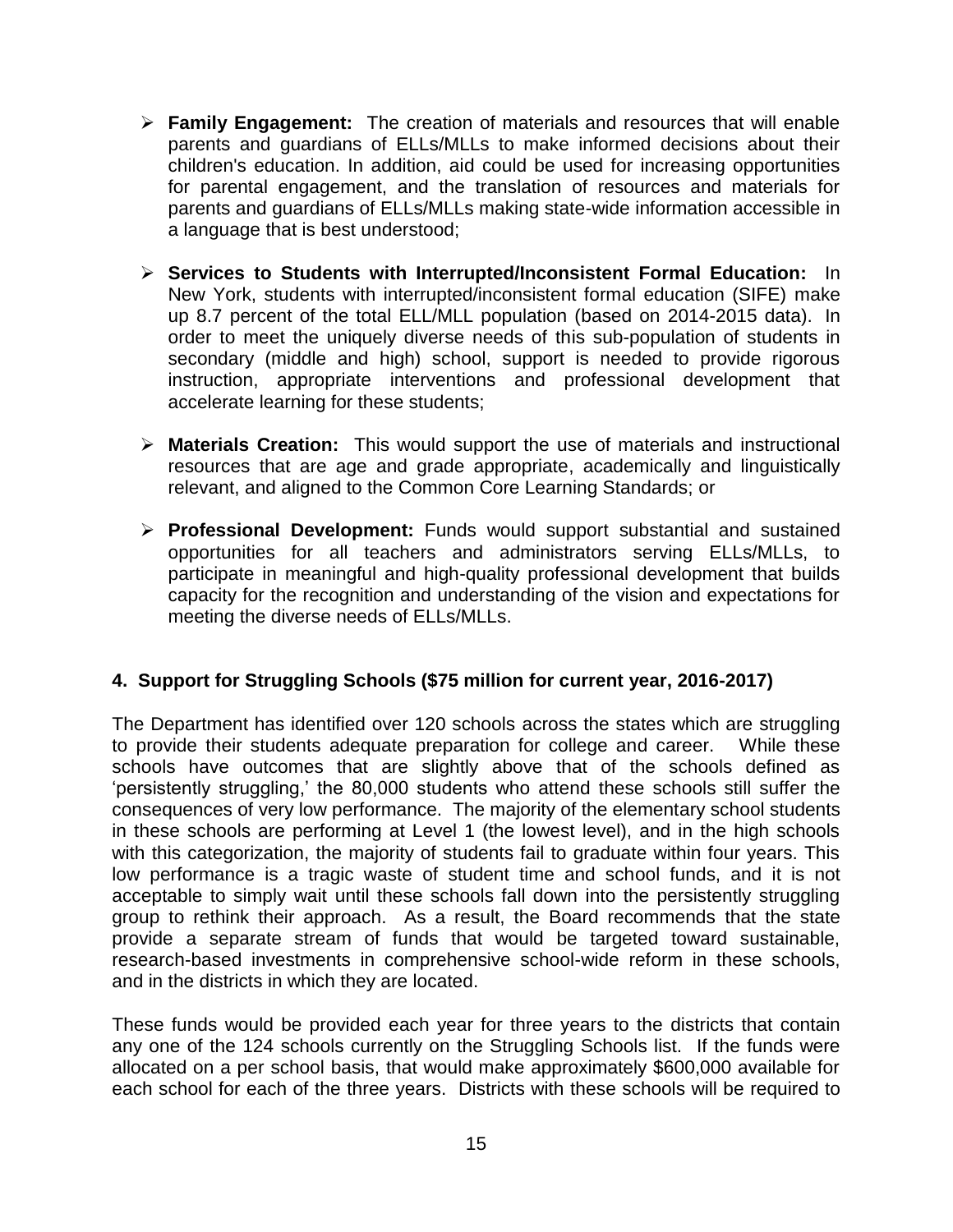- **Family Engagement:** The creation of materials and resources that will enable parents and guardians of ELLs/MLLs to make informed decisions about their children's education. In addition, aid could be used for increasing opportunities for parental engagement, and the translation of resources and materials for parents and guardians of ELLs/MLLs making state-wide information accessible in a language that is best understood;
- **Services to Students with Interrupted/Inconsistent Formal Education:** In New York, students with interrupted/inconsistent formal education (SIFE) make up 8.7 percent of the total ELL/MLL population (based on 2014-2015 data). In order to meet the uniquely diverse needs of this sub-population of students in secondary (middle and high) school, support is needed to provide rigorous instruction, appropriate interventions and professional development that accelerate learning for these students;
- **Materials Creation:** This would support the use of materials and instructional resources that are age and grade appropriate, academically and linguistically relevant, and aligned to the Common Core Learning Standards; or
- **Professional Development:** Funds would support substantial and sustained opportunities for all teachers and administrators serving ELLs/MLLs, to participate in meaningful and high-quality professional development that builds capacity for the recognition and understanding of the vision and expectations for meeting the diverse needs of ELLs/MLLs.

# **4. Support for Struggling Schools (\$75 million for current year, 2016-2017)**

The Department has identified over 120 schools across the states which are struggling to provide their students adequate preparation for college and career. While these schools have outcomes that are slightly above that of the schools defined as 'persistently struggling,' the 80,000 students who attend these schools still suffer the consequences of very low performance. The majority of the elementary school students in these schools are performing at Level 1 (the lowest level), and in the high schools with this categorization, the majority of students fail to graduate within four years. This low performance is a tragic waste of student time and school funds, and it is not acceptable to simply wait until these schools fall down into the persistently struggling group to rethink their approach. As a result, the Board recommends that the state provide a separate stream of funds that would be targeted toward sustainable, research-based investments in comprehensive school-wide reform in these schools, and in the districts in which they are located.

These funds would be provided each year for three years to the districts that contain any one of the 124 schools currently on the Struggling Schools list. If the funds were allocated on a per school basis, that would make approximately \$600,000 available for each school for each of the three years. Districts with these schools will be required to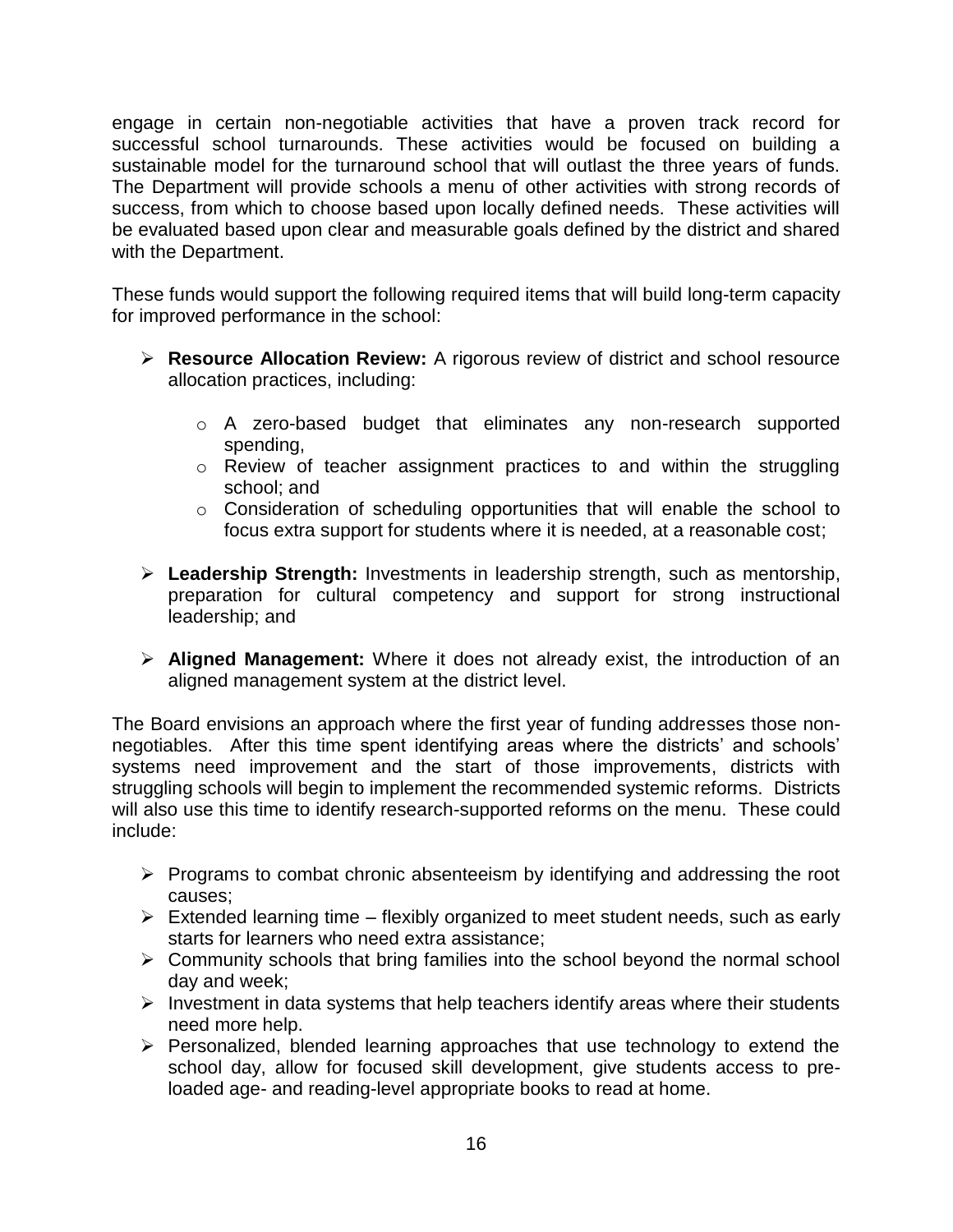engage in certain non-negotiable activities that have a proven track record for successful school turnarounds. These activities would be focused on building a sustainable model for the turnaround school that will outlast the three years of funds. The Department will provide schools a menu of other activities with strong records of success, from which to choose based upon locally defined needs. These activities will be evaluated based upon clear and measurable goals defined by the district and shared with the Department.

These funds would support the following required items that will build long-term capacity for improved performance in the school:

- **Resource Allocation Review:** A rigorous review of district and school resource allocation practices, including:
	- o A zero-based budget that eliminates any non-research supported spending,
	- o Review of teacher assignment practices to and within the struggling school; and
	- o Consideration of scheduling opportunities that will enable the school to focus extra support for students where it is needed, at a reasonable cost;
- **Leadership Strength:** Investments in leadership strength, such as mentorship, preparation for cultural competency and support for strong instructional leadership; and
- **Aligned Management:** Where it does not already exist, the introduction of an aligned management system at the district level.

The Board envisions an approach where the first year of funding addresses those nonnegotiables. After this time spent identifying areas where the districts' and schools' systems need improvement and the start of those improvements, districts with struggling schools will begin to implement the recommended systemic reforms. Districts will also use this time to identify research-supported reforms on the menu. These could include:

- $\triangleright$  Programs to combat chronic absenteeism by identifying and addressing the root causes;
- $\triangleright$  Extended learning time flexibly organized to meet student needs, such as early starts for learners who need extra assistance;
- $\triangleright$  Community schools that bring families into the school beyond the normal school day and week;
- $\triangleright$  Investment in data systems that help teachers identify areas where their students need more help.
- $\triangleright$  Personalized, blended learning approaches that use technology to extend the school day, allow for focused skill development, give students access to preloaded age- and reading-level appropriate books to read at home.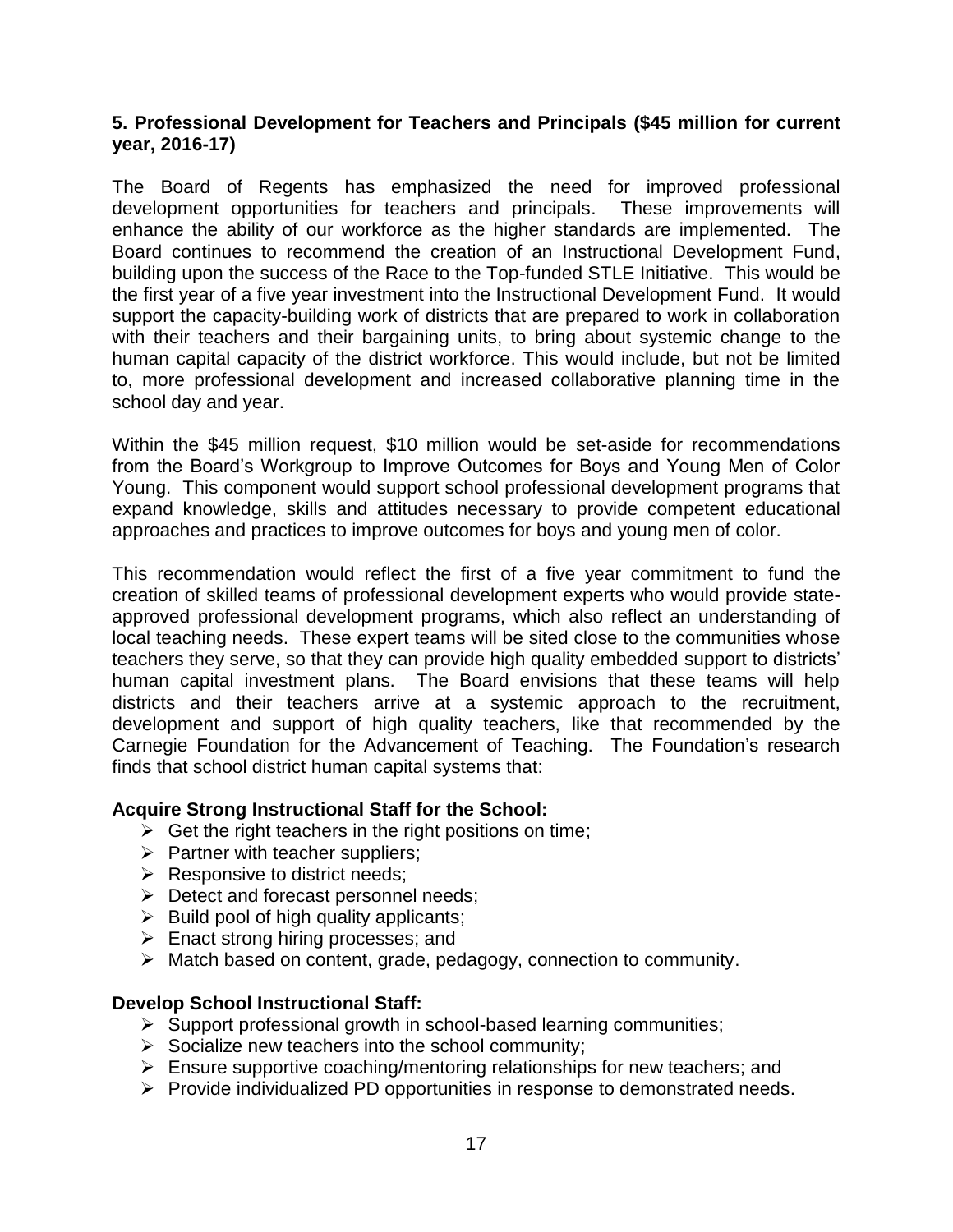#### **5. Professional Development for Teachers and Principals (\$45 million for current year, 2016-17)**

The Board of Regents has emphasized the need for improved professional development opportunities for teachers and principals. These improvements will enhance the ability of our workforce as the higher standards are implemented. The Board continues to recommend the creation of an Instructional Development Fund, building upon the success of the Race to the Top-funded STLE Initiative. This would be the first year of a five year investment into the Instructional Development Fund. It would support the capacity-building work of districts that are prepared to work in collaboration with their teachers and their bargaining units, to bring about systemic change to the human capital capacity of the district workforce. This would include, but not be limited to, more professional development and increased collaborative planning time in the school day and year.

Within the \$45 million request, \$10 million would be set-aside for recommendations from the Board's Workgroup to Improve Outcomes for Boys and Young Men of Color Young. This component would support school professional development programs that expand knowledge, skills and attitudes necessary to provide competent educational approaches and practices to improve outcomes for boys and young men of color.

This recommendation would reflect the first of a five year commitment to fund the creation of skilled teams of professional development experts who would provide stateapproved professional development programs, which also reflect an understanding of local teaching needs. These expert teams will be sited close to the communities whose teachers they serve, so that they can provide high quality embedded support to districts' human capital investment plans. The Board envisions that these teams will help districts and their teachers arrive at a systemic approach to the recruitment, development and support of high quality teachers, like that recommended by the Carnegie Foundation for the Advancement of Teaching. The Foundation's research finds that school district human capital systems that:

#### **Acquire Strong Instructional Staff for the School:**

- $\triangleright$  Get the right teachers in the right positions on time;
- $\triangleright$  Partner with teacher suppliers;
- $\triangleright$  Responsive to district needs:
- $\triangleright$  Detect and forecast personnel needs;
- $\triangleright$  Build pool of high quality applicants;
- $\triangleright$  Enact strong hiring processes; and
- $\triangleright$  Match based on content, grade, pedagogy, connection to community.

#### **Develop School Instructional Staff:**

- $\triangleright$  Support professional growth in school-based learning communities;
- $\triangleright$  Socialize new teachers into the school community;
- $\triangleright$  Ensure supportive coaching/mentoring relationships for new teachers; and
- $\triangleright$  Provide individualized PD opportunities in response to demonstrated needs.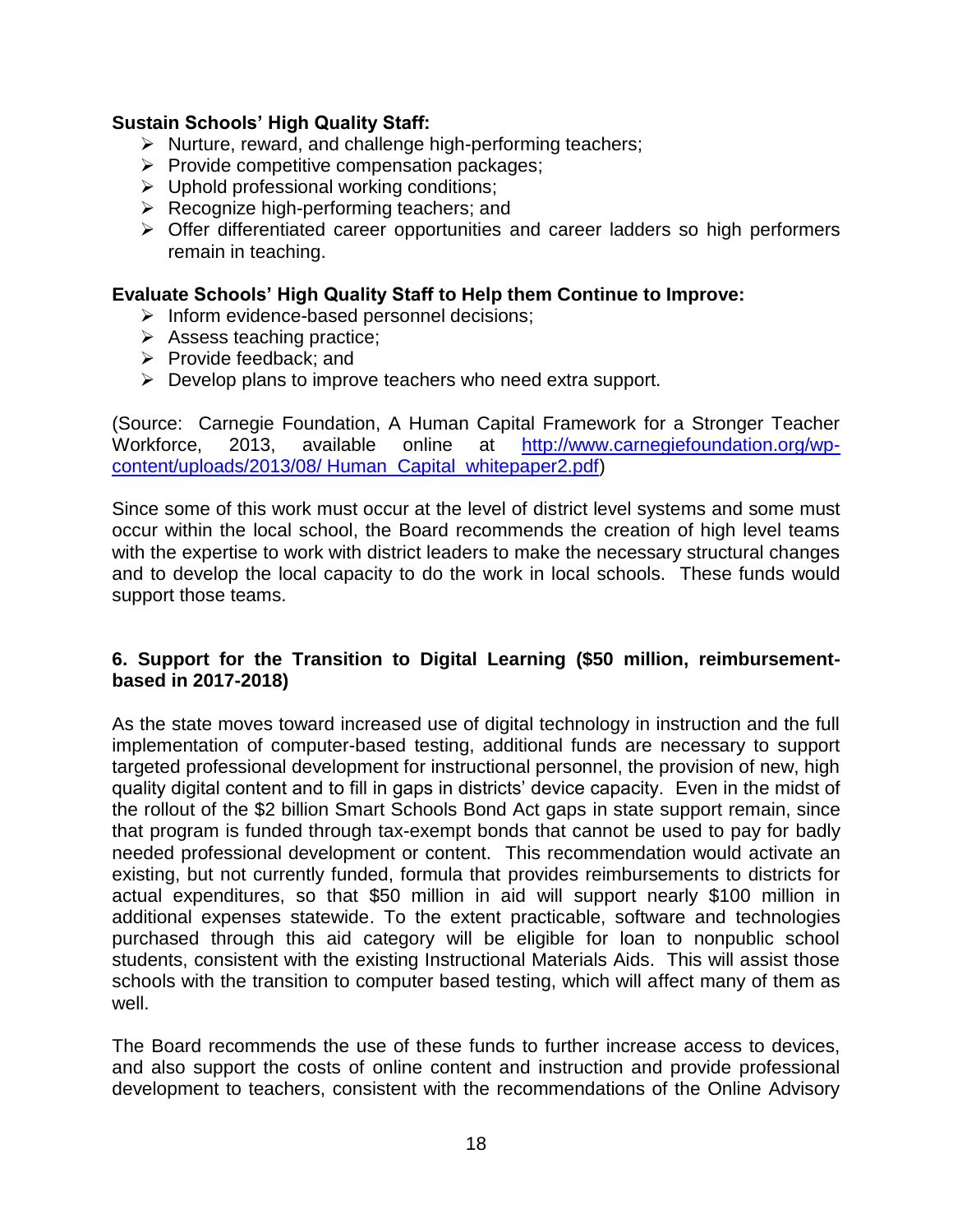#### **Sustain Schools' High Quality Staff:**

- $\triangleright$  Nurture, reward, and challenge high-performing teachers;
- $\triangleright$  Provide competitive compensation packages;
- $\triangleright$  Uphold professional working conditions;
- $\triangleright$  Recognize high-performing teachers; and
- Offer differentiated career opportunities and career ladders so high performers remain in teaching.

#### **Evaluate Schools' High Quality Staff to Help them Continue to Improve:**

- $\triangleright$  Inform evidence-based personnel decisions;
- $\triangleright$  Assess teaching practice;
- $\triangleright$  Provide feedback; and
- $\triangleright$  Develop plans to improve teachers who need extra support.

(Source: Carnegie Foundation, A Human Capital Framework for a Stronger Teacher Workforce, 2013, available online at [http://www.carnegiefoundation.org/wp](http://www.carnegiefoundation.org/wp-content/uploads/2013/08/%20Human_Capital_whitepaper2.pdf)[content/uploads/2013/08/ Human\\_Capital\\_whitepaper2.pdf\)](http://www.carnegiefoundation.org/wp-content/uploads/2013/08/%20Human_Capital_whitepaper2.pdf)

Since some of this work must occur at the level of district level systems and some must occur within the local school, the Board recommends the creation of high level teams with the expertise to work with district leaders to make the necessary structural changes and to develop the local capacity to do the work in local schools. These funds would support those teams.

#### **6. Support for the Transition to Digital Learning (\$50 million, reimbursementbased in 2017-2018)**

As the state moves toward increased use of digital technology in instruction and the full implementation of computer-based testing, additional funds are necessary to support targeted professional development for instructional personnel, the provision of new, high quality digital content and to fill in gaps in districts' device capacity. Even in the midst of the rollout of the \$2 billion Smart Schools Bond Act gaps in state support remain, since that program is funded through tax-exempt bonds that cannot be used to pay for badly needed professional development or content. This recommendation would activate an existing, but not currently funded, formula that provides reimbursements to districts for actual expenditures, so that \$50 million in aid will support nearly \$100 million in additional expenses statewide. To the extent practicable, software and technologies purchased through this aid category will be eligible for loan to nonpublic school students, consistent with the existing Instructional Materials Aids. This will assist those schools with the transition to computer based testing, which will affect many of them as well.

The Board recommends the use of these funds to further increase access to devices, and also support the costs of online content and instruction and provide professional development to teachers, consistent with the recommendations of the Online Advisory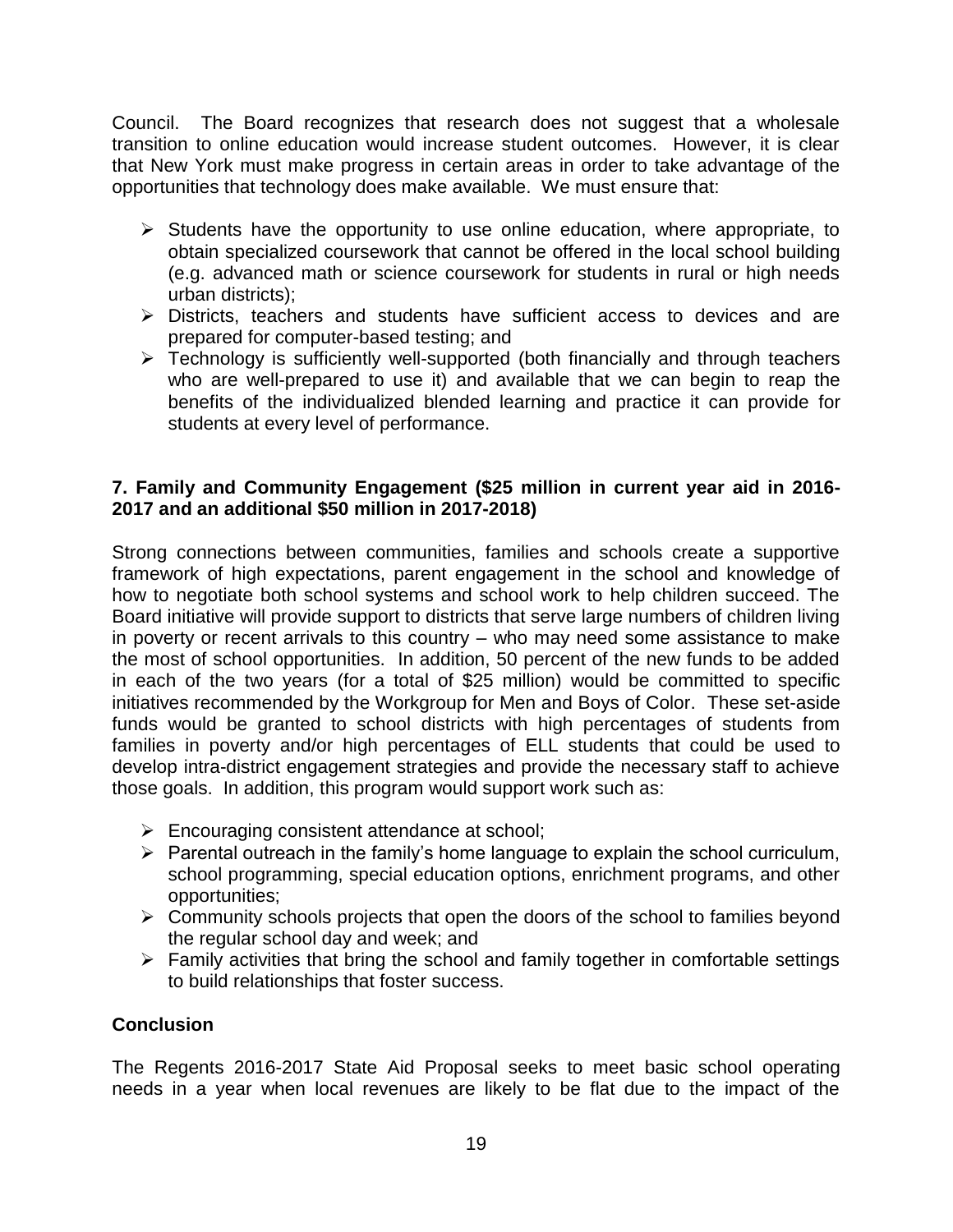Council. The Board recognizes that research does not suggest that a wholesale transition to online education would increase student outcomes. However, it is clear that New York must make progress in certain areas in order to take advantage of the opportunities that technology does make available. We must ensure that:

- $\triangleright$  Students have the opportunity to use online education, where appropriate, to obtain specialized coursework that cannot be offered in the local school building (e.g. advanced math or science coursework for students in rural or high needs urban districts);
- $\triangleright$  Districts, teachers and students have sufficient access to devices and are prepared for computer-based testing; and
- $\triangleright$  Technology is sufficiently well-supported (both financially and through teachers who are well-prepared to use it) and available that we can begin to reap the benefits of the individualized blended learning and practice it can provide for students at every level of performance.

### **7. Family and Community Engagement (\$25 million in current year aid in 2016- 2017 and an additional \$50 million in 2017-2018)**

Strong connections between communities, families and schools create a supportive framework of high expectations, parent engagement in the school and knowledge of how to negotiate both school systems and school work to help children succeed. The Board initiative will provide support to districts that serve large numbers of children living in poverty or recent arrivals to this country – who may need some assistance to make the most of school opportunities. In addition, 50 percent of the new funds to be added in each of the two years (for a total of \$25 million) would be committed to specific initiatives recommended by the Workgroup for Men and Boys of Color. These set-aside funds would be granted to school districts with high percentages of students from families in poverty and/or high percentages of ELL students that could be used to develop intra-district engagement strategies and provide the necessary staff to achieve those goals. In addition, this program would support work such as:

- $\triangleright$  Encouraging consistent attendance at school;
- $\triangleright$  Parental outreach in the family's home language to explain the school curriculum, school programming, special education options, enrichment programs, and other opportunities;
- $\triangleright$  Community schools projects that open the doors of the school to families beyond the regular school day and week; and
- $\triangleright$  Family activities that bring the school and family together in comfortable settings to build relationships that foster success.

# **Conclusion**

The Regents 2016-2017 State Aid Proposal seeks to meet basic school operating needs in a year when local revenues are likely to be flat due to the impact of the